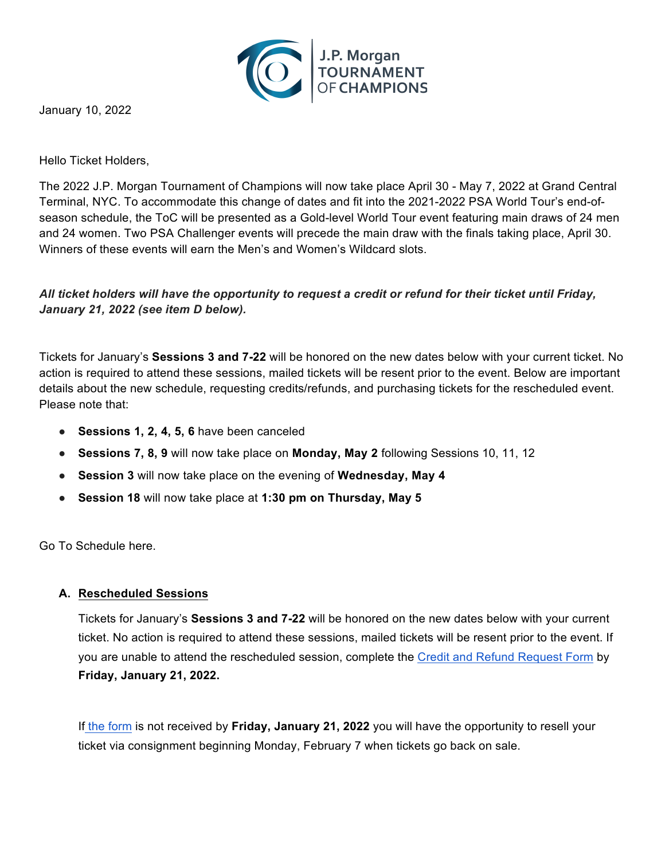

January 10, 2022

Hello Ticket Holders,

The 2022 J.P. Morgan Tournament of Champions will now take place April 30 - May 7, 2022 at Grand Central Terminal, NYC. To accommodate this change of dates and fit into the 2021-2022 PSA World Tour's end-ofseason schedule, the ToC will be presented as a Gold-level World Tour event featuring main draws of 24 men and 24 women. Two PSA Challenger events will precede the main draw with the finals taking place, April 30. Winners of these events will earn the Men's and Women's Wildcard slots.

# *All ticket holders will have the opportunity to request a credit or refund for their ticket until Friday, January 21, 2022 (see item D below).*

Tickets for January's **Sessions 3 and 7-22** will be honored on the new dates below with your current ticket. No action is required to attend these sessions, mailed tickets will be resent prior to the event. Below are important details about the new schedule, requesting credits/refunds, and purchasing tickets for the rescheduled event. Please note that:

- **Sessions 1, 2, 4, 5, 6** have been canceled
- **Sessions 7, 8, 9** will now take place on **Monday, May 2** following Sessions 10, 11, 12
- **Session 3** will now take place on the evening of **Wednesday, May 4**
- **Session 18** will now take place at **1:30 pm on Thursday, May 5**

Go To Schedule here.

#### **A. Rescheduled Sessions**

Tickets for January's **Sessions 3 and 7-22** will be honored on the new dates below with your current ticket. No action is required to attend these sessions, mailed tickets will be resent prior to the event. If you are unable to attend the rescheduled session, complete the [Credit and Refund Request Form](https://docs.google.com/forms/d/e/1FAIpQLSc0qLzaaa_Ze1jQ4ma9Hl4T96WV6eIV85ceE1gGfNGB-qsdFg/viewform) by **Friday, January 21, 2022.**

If [the form](https://docs.google.com/forms/d/e/1FAIpQLSc0qLzaaa_Ze1jQ4ma9Hl4T96WV6eIV85ceE1gGfNGB-qsdFg/viewform) is not received by **Friday, January 21, 2022** you will have the opportunity to resell your ticket via consignment beginning Monday, February 7 when tickets go back on sale.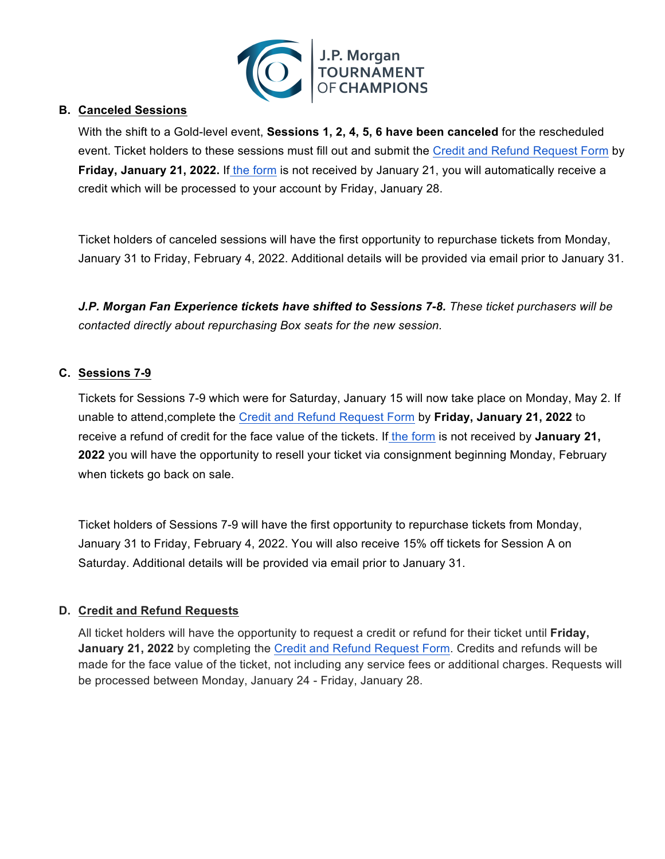

### **B. Canceled Sessions**

With the shift to a Gold-level event, **Sessions 1, 2, 4, 5, 6 have been canceled** for the rescheduled event. Ticket holders to these sessions must fill out and submit the [Credit and Refund Request Form](https://docs.google.com/forms/d/e/1FAIpQLSc0qLzaaa_Ze1jQ4ma9Hl4T96WV6eIV85ceE1gGfNGB-qsdFg/viewform) by **Friday, January 21, 2022.** If [the form](https://docs.google.com/forms/d/e/1FAIpQLSc0qLzaaa_Ze1jQ4ma9Hl4T96WV6eIV85ceE1gGfNGB-qsdFg/viewform) is not received by January 21, you will automatically receive a credit which will be processed to your account by Friday, January 28.

Ticket holders of canceled sessions will have the first opportunity to repurchase tickets from Monday, January 31 to Friday, February 4, 2022. Additional details will be provided via email prior to January 31.

*J.P. Morgan Fan Experience tickets have shifted to Sessions 7-8. These ticket purchasers will be contacted directly about repurchasing Box seats for the new session.*

### **C. Sessions 7-9**

Tickets for Sessions 7-9 which were for Saturday, January 15 will now take place on Monday, May 2. If unable to attend,complete the [Credit and Refund Request Form](https://docs.google.com/forms/d/e/1FAIpQLSc0qLzaaa_Ze1jQ4ma9Hl4T96WV6eIV85ceE1gGfNGB-qsdFg/viewform) by **Friday, January 21, 2022** to receive a refund of credit for the face value of the tickets. If [the form](https://docs.google.com/forms/d/e/1FAIpQLSc0qLzaaa_Ze1jQ4ma9Hl4T96WV6eIV85ceE1gGfNGB-qsdFg/viewform) is not received by **January 21, 2022** you will have the opportunity to resell your ticket via consignment beginning Monday, February when tickets go back on sale.

Ticket holders of Sessions 7-9 will have the first opportunity to repurchase tickets from Monday, January 31 to Friday, February 4, 2022. You will also receive 15% off tickets for Session A on Saturday. Additional details will be provided via email prior to January 31.

## **D. Credit and Refund Requests**

All ticket holders will have the opportunity to request a credit or refund for their ticket until **Friday, January 21, 2022** by completing the [Credit and Refund Request Form.](https://docs.google.com/forms/d/e/1FAIpQLSc0qLzaaa_Ze1jQ4ma9Hl4T96WV6eIV85ceE1gGfNGB-qsdFg/viewform) Credits and refunds will be made for the face value of the ticket, not including any service fees or additional charges. Requests will be processed between Monday, January 24 - Friday, January 28.